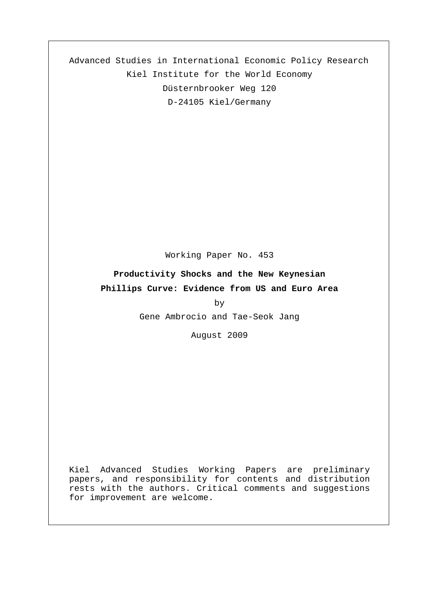Advanced Studies in International Economic Policy Research Kiel Institute for the World Economy Düsternbrooker Weg 120 D-24105 Kiel/Germany

Working Paper No. 453

#### **Productivity Shocks and the New Keynesian**

#### **Phillips Curve: Evidence from US and Euro Area**

by

Gene Ambrocio and Tae-Seok Jang

August 2009

Kiel Advanced Studies Working Papers are preliminary papers, and responsibility for contents and distribution rests with the authors. Critical comments and suggestions for improvement are welcome.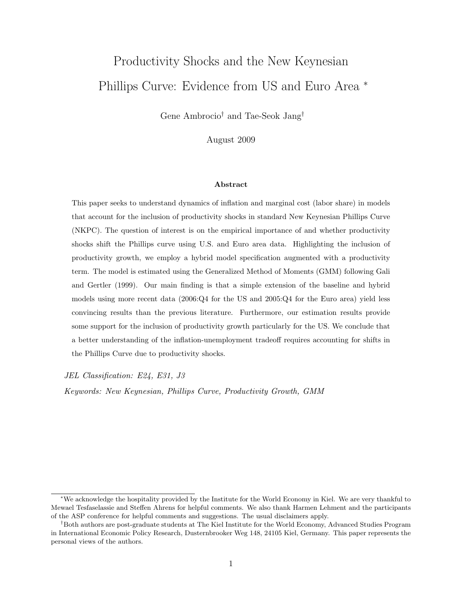# Productivity Shocks and the New Keynesian Phillips Curve: Evidence from US and Euro Area <sup>∗</sup>

Gene Ambrocio† and Tae-Seok Jang†

August 2009

#### Abstract

This paper seeks to understand dynamics of inflation and marginal cost (labor share) in models that account for the inclusion of productivity shocks in standard New Keynesian Phillips Curve (NKPC). The question of interest is on the empirical importance of and whether productivity shocks shift the Phillips curve using U.S. and Euro area data. Highlighting the inclusion of productivity growth, we employ a hybrid model specification augmented with a productivity term. The model is estimated using the Generalized Method of Moments (GMM) following Gali and Gertler (1999). Our main finding is that a simple extension of the baseline and hybrid models using more recent data (2006:Q4 for the US and 2005:Q4 for the Euro area) yield less convincing results than the previous literature. Furthermore, our estimation results provide some support for the inclusion of productivity growth particularly for the US. We conclude that a better understanding of the inflation-unemployment tradeoff requires accounting for shifts in the Phillips Curve due to productivity shocks.

*JEL Classification: E24, E31, J3*

*Keywords: New Keynesian, Phillips Curve, Productivity Growth, GMM*

<sup>∗</sup>We acknowledge the hospitality provided by the Institute for the World Economy in Kiel. We are very thankful to Mewael Tesfaselassie and Steffen Ahrens for helpful comments. We also thank Harmen Lehment and the participants of the ASP conference for helpful comments and suggestions. The usual disclaimers apply.

<sup>†</sup>Both authors are post-graduate students at The Kiel Institute for the World Economy, Advanced Studies Program in International Economic Policy Research, Dusternbrooker Weg 148, 24105 Kiel, Germany. This paper represents the personal views of the authors.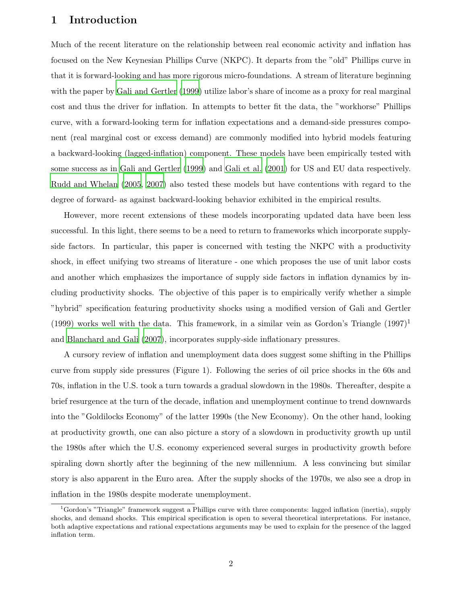#### 1 Introduction

Much of the recent literature on the relationship between real economic activity and inflation has focused on the New Keynesian Phillips Curve (NKPC). It departs from the "old" Phillips curve in that it is forward-looking and has more rigorous micro-foundations. A stream of literature beginning with the paper by [Gali and Gertler \(1999\)](#page-12-0) utilize labor's share of income as a proxy for real marginal cost and thus the driver for inflation. In attempts to better fit the data, the "workhorse" Phillips curve, with a forward-looking term for inflation expectations and a demand-side pressures component (real marginal cost or excess demand) are commonly modified into hybrid models featuring a backward-looking (lagged-inflation) component. These models have been empirically tested with some success as in [Gali and Gertler \(1999](#page-12-0)) and [Gali et al. \(2001](#page-12-1)) for US and EU data respectively. [Rudd and Whelan \(2005,](#page-13-0) [2007](#page-13-1)) also tested these models but have contentions with regard to the degree of forward- as against backward-looking behavior exhibited in the empirical results.

However, more recent extensions of these models incorporating updated data have been less successful. In this light, there seems to be a need to return to frameworks which incorporate supplyside factors. In particular, this paper is concerned with testing the NKPC with a productivity shock, in effect unifying two streams of literature - one which proposes the use of unit labor costs and another which emphasizes the importance of supply side factors in inflation dynamics by including productivity shocks. The objective of this paper is to empirically verify whether a simple "hybrid" specification featuring productivity shocks using a modified version of Gali and Gertler (1999) works well with the data. This framework, in a similar vein as Gordon's Triangle  $(1997)^{1}$ and [Blanchard and Gali \(2007](#page-12-2)), incorporates supply-side inflationary pressures.

A cursory review of inflation and unemployment data does suggest some shifting in the Phillips curve from supply side pressures (Figure 1). Following the series of oil price shocks in the 60s and 70s, inflation in the U.S. took a turn towards a gradual slowdown in the 1980s. Thereafter, despite a brief resurgence at the turn of the decade, inflation and unemployment continue to trend downwards into the "Goldilocks Economy" of the latter 1990s (the New Economy). On the other hand, looking at productivity growth, one can also picture a story of a slowdown in productivity growth up until the 1980s after which the U.S. economy experienced several surges in productivity growth before spiraling down shortly after the beginning of the new millennium. A less convincing but similar story is also apparent in the Euro area. After the supply shocks of the 1970s, we also see a drop in inflation in the 1980s despite moderate unemployment.

<sup>1</sup>Gordon's "Triangle" framework suggest a Phillips curve with three components: lagged inflation (inertia), supply shocks, and demand shocks. This empirical specification is open to several theoretical interpretations. For instance, both adaptive expectations and rational expectations arguments may be used to explain for the presence of the lagged inflation term.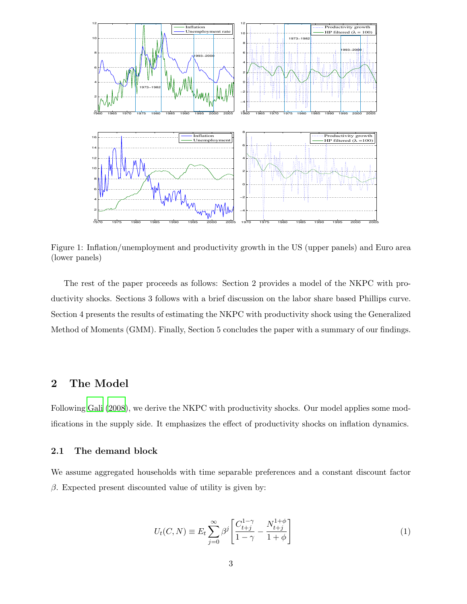

Figure 1: Inflation/unemployment and productivity growth in the US (upper panels) and Euro area (lower panels)

The rest of the paper proceeds as follows: Section 2 provides a model of the NKPC with productivity shocks. Sections 3 follows with a brief discussion on the labor share based Phillips curve. Section 4 presents the results of estimating the NKPC with productivity shock using the Generalized Method of Moments (GMM). Finally, Section 5 concludes the paper with a summary of our findings.

## 2 The Model

Following [Gali \(2008](#page-12-3)), we derive the NKPC with productivity shocks. Our model applies some modifications in the supply side. It emphasizes the effect of productivity shocks on inflation dynamics.

#### 2.1 The demand block

We assume aggregated households with time separable preferences and a constant discount factor  $β$ . Expected present discounted value of utility is given by:

$$
U_t(C,N) \equiv E_t \sum_{j=0}^{\infty} \beta^j \left[ \frac{C_{t+j}^{1-\gamma}}{1-\gamma} - \frac{N_{t+j}^{1+\phi}}{1+\phi} \right]
$$
(1)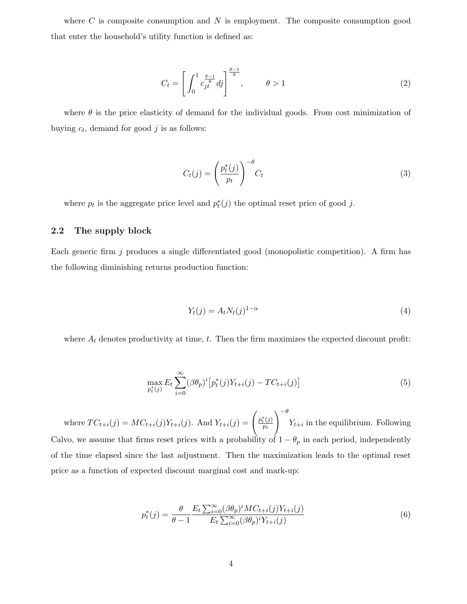where  $C$  is composite consumption and  $N$  is employment. The composite consumption good that enter the household's utility function is defined as:

$$
C_t = \left[ \int_0^1 c_{jt}^{\frac{\theta - 1}{\theta}} dj \right]^{\frac{\theta - 1}{\theta}}, \qquad \theta > 1 \tag{2}
$$

where  $\theta$  is the price elasticity of demand for the individual goods. From cost minimization of buying  $c_t$ , demand for good j is as follows:

$$
C_t(j) = \left(\frac{p_t^*(j)}{p_t}\right)^{-\theta} C_t \tag{3}
$$

where  $p_t$  is the aggregate price level and  $p_t^*(j)$  the optimal reset price of good j.

#### 2.2 The supply block

Each generic firm j produces a single differentiated good (monopolistic competition). A firm has the following diminishing returns production function:

$$
Y_t(j) = A_t N_t(j)^{1-\alpha} \tag{4}
$$

where  $A_t$  denotes productivity at time, t. Then the firm maximizes the expected discount profit:

$$
\max_{p_t^*(j)} E_t \sum_{i=0}^{\infty} (\beta \theta_p)^i \left[ p_t^*(j) Y_{t+i}(j) - T C_{t+i}(j) \right] \tag{5}
$$

where  $TC_{t+i}(j) = MC_{t+i}(j)Y_{t+i}(j)$ . And  $Y_{t+i}(j) = \begin{pmatrix} p_t^*(j) \\ p_t^*(j) \end{pmatrix}$  $\overline{p_t}$  $\setminus$   $^{-\theta}$  $Y_{t+i}$  in the equilibrium. Following Calvo, we assume that firms reset prices with a probability of  $1 - \theta_p$  in each period, independently of the time elapsed since the last adjustment. Then the maximization leads to the optimal reset price as a function of expected discount marginal cost and mark-up:

$$
p_t^*(j) = \frac{\theta}{\theta - 1} \frac{E_t \sum_{i=0}^{\infty} (\beta \theta_p)^i M C_{t+i}(j) Y_{t+i}(j)}{E_t \sum_{i=0}^{\infty} (\beta \theta_p)^i Y_{t+i}(j)}
$$
(6)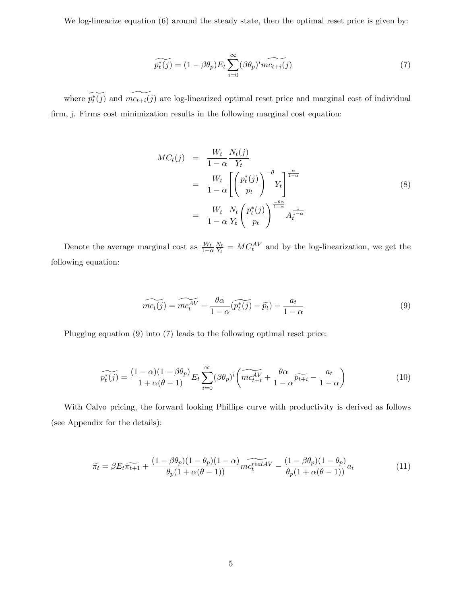We log-linearize equation (6) around the steady state, then the optimal reset price is given by:

$$
\widetilde{p_t^*(j)} = (1 - \beta \theta_p) E_t \sum_{i=0}^{\infty} (\beta \theta_p)^i \widetilde{mc_{t+i}(j)}
$$
\n(7)

where  $\widetilde{p_t^*(j)}$  and  $\widetilde{mc_{t+i}(j)}$  are log-linearized optimal reset price and marginal cost of individual firm, j. Firms cost minimization results in the following marginal cost equation:

$$
MC_t(j) = \frac{W_t}{1-\alpha} \frac{N_t(j)}{Y_t}
$$
  
= 
$$
\frac{W_t}{1-\alpha} \left[ \left( \frac{p_t^*(j)}{p_t} \right)^{-\theta} Y_t \right]^{\frac{\alpha}{1-\alpha}}
$$
  
= 
$$
\frac{W_t}{1-\alpha} \frac{N_t}{Y_t} \left( \frac{p_t^*(j)}{p_t} \right)^{\frac{-\theta\alpha}{1-\alpha}} A_t^{\frac{1}{1-\alpha}}
$$
 (8)

Denote the average marginal cost as  $\frac{W_t}{1-\alpha}$  $N_t$  $\frac{N_t}{Y_t} = MC_t^{AV}$  and by the log-linearization, we get the following equation:

$$
\widetilde{mc_t(j)} = \widetilde{mc_t^{AV}} - \frac{\theta \alpha}{1 - \alpha} (\widetilde{p_t^*(j)} - \widetilde{p_t}) - \frac{a_t}{1 - \alpha} \tag{9}
$$

Plugging equation (9) into (7) leads to the following optimal reset price:

$$
\widetilde{p_t^*(j)} = \frac{(1-\alpha)(1-\beta\theta_p)}{1+\alpha(\theta-1)} E_t \sum_{i=0}^{\infty} (\beta\theta_p)^i \left( \widetilde{mc_{t+i}^{AV}} + \frac{\theta\alpha}{1-\alpha} \widetilde{p_{t+i}} - \frac{a_t}{1-\alpha} \right)
$$
(10)

With Calvo pricing, the forward looking Phillips curve with productivity is derived as follows (see Appendix for the details):

$$
\widetilde{\pi}_t = \beta E_t \widetilde{\pi_{t+1}} + \frac{(1 - \beta \theta_p)(1 - \theta_p)(1 - \alpha)}{\theta_p(1 + \alpha(\theta - 1))} m c_t^{\text{real} A V} - \frac{(1 - \beta \theta_p)(1 - \theta_p)}{\theta_p(1 + \alpha(\theta - 1))} a_t \tag{11}
$$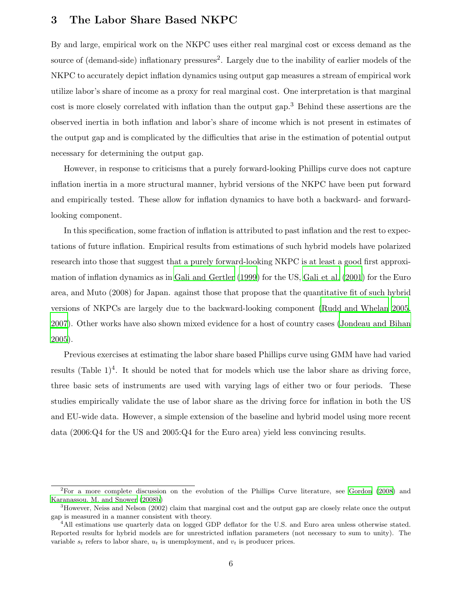#### 3 The Labor Share Based NKPC

By and large, empirical work on the NKPC uses either real marginal cost or excess demand as the source of (demand-side) inflationary pressures<sup>2</sup>. Largely due to the inability of earlier models of the NKPC to accurately depict inflation dynamics using output gap measures a stream of empirical work utilize labor's share of income as a proxy for real marginal cost. One interpretation is that marginal cost is more closely correlated with inflation than the output gap.<sup>3</sup> Behind these assertions are the observed inertia in both inflation and labor's share of income which is not present in estimates of the output gap and is complicated by the difficulties that arise in the estimation of potential output necessary for determining the output gap.

However, in response to criticisms that a purely forward-looking Phillips curve does not capture inflation inertia in a more structural manner, hybrid versions of the NKPC have been put forward and empirically tested. These allow for inflation dynamics to have both a backward- and forwardlooking component.

In this specification, some fraction of inflation is attributed to past inflation and the rest to expectations of future inflation. Empirical results from estimations of such hybrid models have polarized research into those that suggest that a purely forward-looking NKPC is at least a good first approximation of inflation dynamics as in [Gali and Gertler \(1999\)](#page-12-0) for the US, [Gali et al. \(2001\)](#page-12-1) for the Euro area, and Muto (2008) for Japan. against those that propose that the quantitative fit of such hybrid versions of NKPCs are largely due to the backward-looking component [\(Rudd and Whelan 2005,](#page-13-0) [2007\)](#page-13-1). Other works have also shown mixed evidence for a host of country cases [\(Jondeau and Bihan](#page-12-4) [2005\)](#page-12-4).

Previous exercises at estimating the labor share based Phillips curve using GMM have had varied results  $(Table 1)^4$ . It should be noted that for models which use the labor share as driving force, three basic sets of instruments are used with varying lags of either two or four periods. These studies empirically validate the use of labor share as the driving force for inflation in both the US and EU-wide data. However, a simple extension of the baseline and hybrid model using more recent data (2006:Q4 for the US and 2005:Q4 for the Euro area) yield less convincing results.

<sup>2</sup>For a more complete discussion on the evolution of the Phillips Curve literature, see [Gordon \(2008](#page-12-5)) and [Karanassou. M. and Snower \(2008b](#page-13-2))

<sup>&</sup>lt;sup>3</sup>However, Neiss and Nelson (2002) claim that marginal cost and the output gap are closely relate once the output gap is measured in a manner consistent with theory.

<sup>&</sup>lt;sup>4</sup>All estimations use quarterly data on logged GDP deflator for the U.S. and Euro area unless otherwise stated. Reported results for hybrid models are for unrestricted inflation parameters (not necessary to sum to unity). The variable  $s_t$  refers to labor share,  $u_t$  is unemployment, and  $v_t$  is producer prices.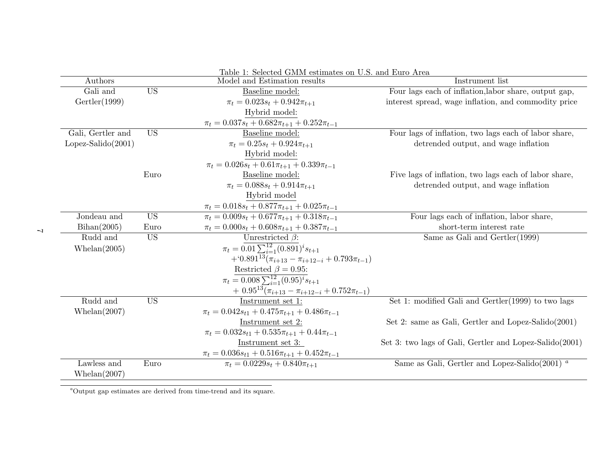|                      |           | Table 1: Selected GMM estimates on U.S. and Euro Area           |                                                                        |  |  |  |
|----------------------|-----------|-----------------------------------------------------------------|------------------------------------------------------------------------|--|--|--|
| Authors              |           | Model and Estimation results                                    | Instrument list                                                        |  |  |  |
| Gali and             | <b>US</b> | Baseline model:                                                 | Four lags each of inflation, labor share, output gap,                  |  |  |  |
| Gertler(1999)        |           | $\pi_t = 0.023s_t + 0.942\pi_{t+1}$                             | interest spread, wage inflation, and commodity price                   |  |  |  |
|                      |           | Hybrid model:                                                   |                                                                        |  |  |  |
|                      |           | $\pi_t = 0.037s_t + 0.682\pi_{t+1} + 0.252\pi_{t-1}$            |                                                                        |  |  |  |
| Gali, Gertler and    | <b>US</b> | Baseline model:                                                 | Four lags of inflation, two lags each of labor share,                  |  |  |  |
| $Lopez-Salido(2001)$ |           | $\pi_t = 0.25s_t + 0.924\pi_{t+1}$                              | detrended output, and wage inflation                                   |  |  |  |
|                      |           | Hybrid model:                                                   |                                                                        |  |  |  |
|                      |           | $\pi_t = 0.026s_t + 0.61\pi_{t+1} + 0.339\pi_{t-1}$             |                                                                        |  |  |  |
|                      | Euro      | Baseline model:                                                 | Five lags of inflation, two lags each of labor share,                  |  |  |  |
|                      |           | $\pi_t = 0.088s_t + 0.914\pi_{t+1}$                             | detrended output, and wage inflation                                   |  |  |  |
|                      |           | Hybrid model                                                    |                                                                        |  |  |  |
|                      |           | $\pi_t = 0.018s_t + 0.877\pi_{t+1} + 0.025\pi_{t-1}$            |                                                                        |  |  |  |
| Jondeau and          | <b>US</b> | $\overline{\pi_t} = 0.009s_t + 0.677\pi_{t+1} + 0.318\pi_{t-1}$ | Four lags each of inflation, labor share,                              |  |  |  |
| Bihan(2005)          | Euro      | $\pi_t = 0.000s_t + 0.608\pi_{t+1} + 0.387\pi_{t-1}$            | short-term interest rate                                               |  |  |  |
| Rudd and             | <b>US</b> | Unrestricted $\beta$ :                                          | Same as Gali and $Gertler(1999)$                                       |  |  |  |
| Whelan $(2005)$      |           | $\pi_t = 0.01 \sum_{i=1}^{12} (0.891)^{i} s_{t+1}$              |                                                                        |  |  |  |
|                      |           | $+(0.891^{13}(\pi_{i+13}-\pi_{i+12-i}+0.793\pi_{t-1}))$         |                                                                        |  |  |  |
|                      |           | Restricted $\beta = 0.95$ :                                     |                                                                        |  |  |  |
|                      |           | $\pi_t = 0.008 \sum_{i=1}^{12} (0.95)^i s_{t+1}$                |                                                                        |  |  |  |
|                      |           | + $0.95^{13}(\pi_{i+13} - \pi_{i+12-i} + 0.752\pi_{t-1})$       |                                                                        |  |  |  |
| Rudd and             | <b>US</b> | Instrument set 1:                                               | Set 1: modified Gali and Gertler (1999) to two lags                    |  |  |  |
| Whelan(2007)         |           | $\pi_t = 0.042s_{t1} + 0.475\pi_{t+1} + 0.486\pi_{t-1}$         |                                                                        |  |  |  |
|                      |           | Instrument set 2:                                               | Set 2: same as Gali, Gertler and Lopez-Salido $(2001)$                 |  |  |  |
|                      |           | $\pi_t = 0.032s_{t1} + 0.535\pi_{t+1} + 0.44\pi_{t-1}$          |                                                                        |  |  |  |
|                      |           | Instrument set 3:                                               | Set 3: two lags of Gali, Gertler and Lopez-Salido(2001)                |  |  |  |
|                      |           | $\pi_t = 0.036s_{t1} + 0.516\pi_{t+1} + 0.452\pi_{t-1}$         |                                                                        |  |  |  |
| Lawless and          | Euro      | $\pi_t = 0.0229s_t + 0.840\pi_{t+1}$                            | Same as Gali, Gertler and Lopez-Salido(2001) <sup><math>a</math></sup> |  |  |  |
| Whelan(2007)         |           |                                                                 |                                                                        |  |  |  |

 $^a$ Output gap estimates are derived from time-trend and its square.

 $\mathcal{L}$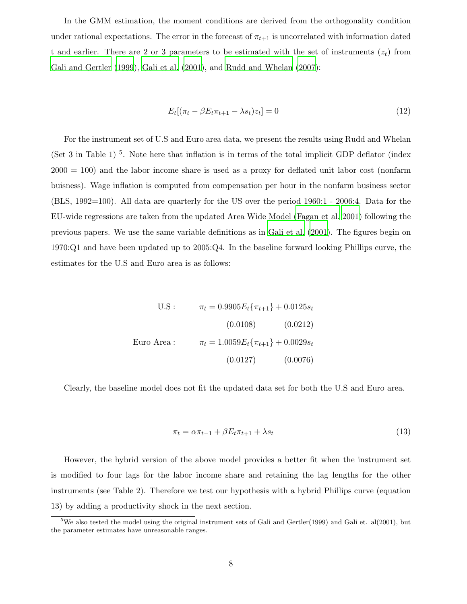In the GMM estimation, the moment conditions are derived from the orthogonality condition under rational expectations. The error in the forecast of  $\pi_{t+1}$  is uncorrelated with information dated t and earlier. There are 2 or 3 parameters to be estimated with the set of instruments  $(z_t)$  from [Gali and Gertler \(1999\)](#page-12-0), [Gali et al. \(2001](#page-12-1)), and [Rudd and Whelan \(2007\)](#page-13-1):

$$
E_t[(\pi_t - \beta E_t \pi_{t+1} - \lambda s_t)z_t] = 0
$$
\n(12)

For the instrument set of U.S and Euro area data, we present the results using Rudd and Whelan (Set 3 in Table 1)<sup>5</sup>. Note here that inflation is in terms of the total implicit GDP deflator (index  $2000 = 100$ ) and the labor income share is used as a proxy for deflated unit labor cost (nonfarm buisness). Wage inflation is computed from compensation per hour in the nonfarm business sector (BLS, 1992=100). All data are quarterly for the US over the period 1960:1 - 2006:4. Data for the EU-wide regressions are taken from the updated Area Wide Model [\(Fagan et al. 2001\)](#page-12-6) following the previous papers. We use the same variable definitions as in [Gali et al. \(2001](#page-12-1)). The figures begin on 1970:Q1 and have been updated up to 2005:Q4. In the baseline forward looking Phillips curve, the estimates for the U.S and Euro area is as follows:

$$
\begin{aligned}\n\text{U.S}: \qquad & \pi_t = 0.9905 E_t \{\pi_{t+1}\} + 0.0125 s_t \\
&\qquad (0.0108) \qquad (0.0212) \\
\text{Euro Area}: \qquad & \pi_t = 1.0059 E_t \{\pi_{t+1}\} + 0.0029 s_t \\
&\qquad (0.0127) \qquad (0.0076)\n\end{aligned}
$$

Clearly, the baseline model does not fit the updated data set for both the U.S and Euro area.

$$
\pi_t = \alpha \pi_{t-1} + \beta E_t \pi_{t+1} + \lambda s_t \tag{13}
$$

However, the hybrid version of the above model provides a better fit when the instrument set is modified to four lags for the labor income share and retaining the lag lengths for the other instruments (see Table 2). Therefore we test our hypothesis with a hybrid Phillips curve (equation 13) by adding a productivity shock in the next section.

<sup>&</sup>lt;sup>5</sup>We also tested the model using the original instrument sets of Gali and Gertler(1999) and Gali et. al(2001), but the parameter estimates have unreasonable ranges.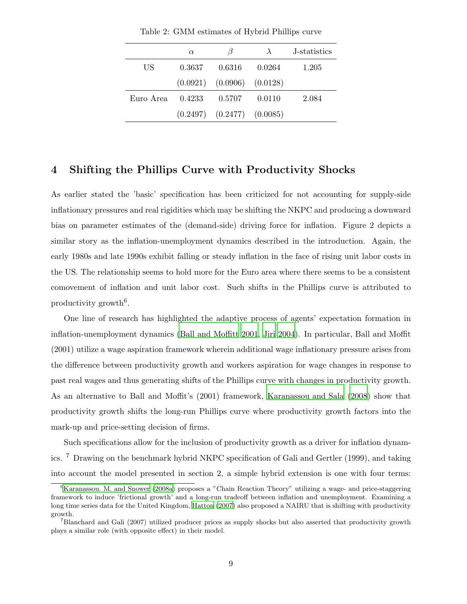|           | $\alpha$ | 13                               | $\lambda$ | J-statistics |
|-----------|----------|----------------------------------|-----------|--------------|
| US        | 0.3637   | 0.6316                           | 0.0264    | 1.205        |
|           |          | $(0.0921)$ $(0.0906)$ $(0.0128)$ |           |              |
| Euro Area | 0.4233   | 0.5707                           | 0.0110    | 2.084        |
|           |          | $(0.2497)$ $(0.2477)$ $(0.0085)$ |           |              |

Table 2: GMM estimates of Hybrid Phillips curve

#### 4 Shifting the Phillips Curve with Productivity Shocks

As earlier stated the 'basic' specification has been criticized for not accounting for supply-side inflationary pressures and real rigidities which may be shifting the NKPC and producing a downward bias on parameter estimates of the (demand-side) driving force for inflation. Figure 2 depicts a similar story as the inflation-unemployment dynamics described in the introduction. Again, the early 1980s and late 1990s exhibit falling or steady inflation in the face of rising unit labor costs in the US. The relationship seems to hold more for the Euro area where there seems to be a consistent comovement of inflation and unit labor cost. Such shifts in the Phillips curve is attributed to productivity growth<sup>6</sup>.

One line of research has highlighted the adaptive process of agents' expectation formation in inflation-unemployment dynamics [\(Ball and Moffitt 2001,](#page-12-7) [Jiri 2004\)](#page-12-8). In particular, Ball and Moffit (2001) utilize a wage aspiration framework wherein additional wage inflationary pressure arises from the difference between productivity growth and workers aspiration for wage changes in response to past real wages and thus generating shifts of the Phillips curve with changes in productivity growth. As an alternative to Ball and Moffit's (2001) framework, [Karanassou and Sala \(2008\)](#page-12-9) show that productivity growth shifts the long-run Phillips curve where productivity growth factors into the mark-up and price-setting decision of firms.

Such specifications allow for the inclusion of productivity growth as a driver for inflation dynamics. <sup>7</sup> Drawing on the benchmark hybrid NKPC specification of Gali and Gertler (1999), and taking into account the model presented in section 2, a simple hybrid extension is one with four terms:

 ${}^{6}$ [Karanassou. M. and Snower \(2008a](#page-12-10)) proposes a "Chain Reaction Theory" utilizing a wage- and price-staggering framework to induce 'frictional growth' and a long-run tradeoff between inflation and unemployment. Examining a long time series data for the United Kingdom, [Hatton \(2007](#page-12-11)) also proposed a NAIRU that is shifting with productivity growth.

<sup>&</sup>lt;sup>7</sup>Blanchard and Gali (2007) utilized producer prices as supply shocks but also asserted that productivity growth plays a similar role (with opposite effect) in their model.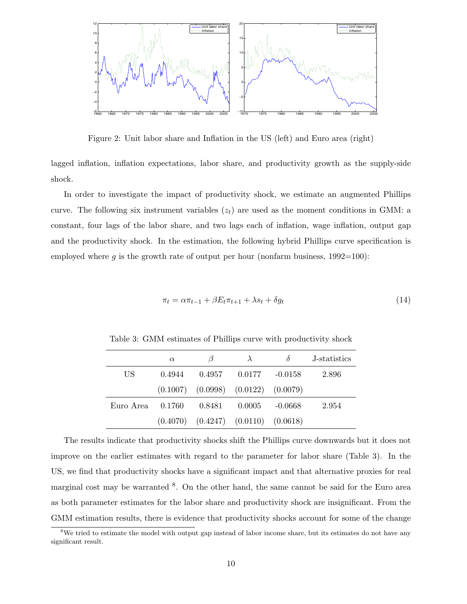

Figure 2: Unit labor share and Inflation in the US (left) and Euro area (right)

lagged inflation, inflation expectations, labor share, and productivity growth as the supply-side shock.

In order to investigate the impact of productivity shock, we estimate an augmented Phillips curve. The following six instrument variables  $(z_t)$  are used as the moment conditions in GMM: a constant, four lags of the labor share, and two lags each of inflation, wage inflation, output gap and the productivity shock. In the estimation, the following hybrid Phillips curve specification is employed where g is the growth rate of output per hour (nonfarm business,  $1992=100$ ):

$$
\pi_t = \alpha \pi_{t-1} + \beta E_t \pi_{t+1} + \lambda s_t + \delta g_t \tag{14}
$$

|           | $\alpha$ | $\beta$ | $\lambda$                                   | $\lambda$ | J-statistics |
|-----------|----------|---------|---------------------------------------------|-----------|--------------|
| US        | 0.4944   | 0.4957  | 0.0177                                      | $-0.0158$ | 2.896        |
|           |          |         | $(0.1007)$ $(0.0998)$ $(0.0122)$ $(0.0079)$ |           |              |
| Euro Area | -0.1760  | 0.8481  | 0.0005                                      | $-0.0668$ | 2.954        |
|           |          |         | $(0.4070)$ $(0.4247)$ $(0.0110)$ $(0.0618)$ |           |              |

Table 3: GMM estimates of Phillips curve with productivity shock

The results indicate that productivity shocks shift the Phillips curve downwards but it does not improve on the earlier estimates with regard to the parameter for labor share (Table 3). In the US, we find that productivity shocks have a significant impact and that alternative proxies for real marginal cost may be warranted <sup>8</sup>. On the other hand, the same cannot be said for the Euro area as both parameter estimates for the labor share and productivity shock are insignificant. From the GMM estimation results, there is evidence that productivity shocks account for some of the change

<sup>&</sup>lt;sup>8</sup>We tried to estimate the model with output gap instead of labor income share, but its estimates do not have any significant result.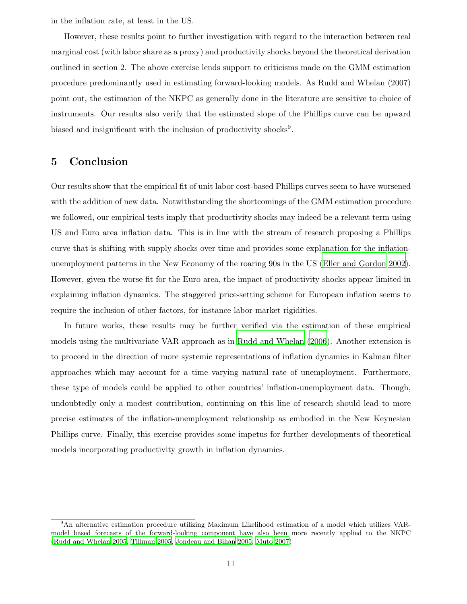in the inflation rate, at least in the US.

However, these results point to further investigation with regard to the interaction between real marginal cost (with labor share as a proxy) and productivity shocks beyond the theoretical derivation outlined in section 2. The above exercise lends support to criticisms made on the GMM estimation procedure predominantly used in estimating forward-looking models. As Rudd and Whelan (2007) point out, the estimation of the NKPC as generally done in the literature are sensitive to choice of instruments. Our results also verify that the estimated slope of the Phillips curve can be upward biased and insignificant with the inclusion of productivity shocks<sup>9</sup>.

### 5 Conclusion

Our results show that the empirical fit of unit labor cost-based Phillips curves seem to have worsened with the addition of new data. Notwithstanding the shortcomings of the GMM estimation procedure we followed, our empirical tests imply that productivity shocks may indeed be a relevant term using US and Euro area inflation data. This is in line with the stream of research proposing a Phillips curve that is shifting with supply shocks over time and provides some explanation for the inflationunemployment patterns in the New Economy of the roaring 90s in the US [\(Eller and Gordon 2002\)](#page-12-12). However, given the worse fit for the Euro area, the impact of productivity shocks appear limited in explaining inflation dynamics. The staggered price-setting scheme for European inflation seems to require the inclusion of other factors, for instance labor market rigidities.

In future works, these results may be further verified via the estimation of these empirical models using the multivariate VAR approach as in [Rudd and Whelan \(2006\)](#page-13-3). Another extension is to proceed in the direction of more systemic representations of inflation dynamics in Kalman filter approaches which may account for a time varying natural rate of unemployment. Furthermore, these type of models could be applied to other countries' inflation-unemployment data. Though, undoubtedly only a modest contribution, continuing on this line of research should lead to more precise estimates of the inflation-unemployment relationship as embodied in the New Keynesian Phillips curve. Finally, this exercise provides some impetus for further developments of theoretical models incorporating productivity growth in inflation dynamics.

<sup>9</sup>An alternative estimation procedure utilizing Maximum Likelihood estimation of a model which utilizes VARmodel based forecasts of the forward-looking component have also been more recently applied to the NKPC [\(Rudd and Whelan 2005,](#page-13-0) [Tillman 2005,](#page-13-4) [Jondeau and Bihan 2005](#page-12-4), [Muto 2007](#page-13-5))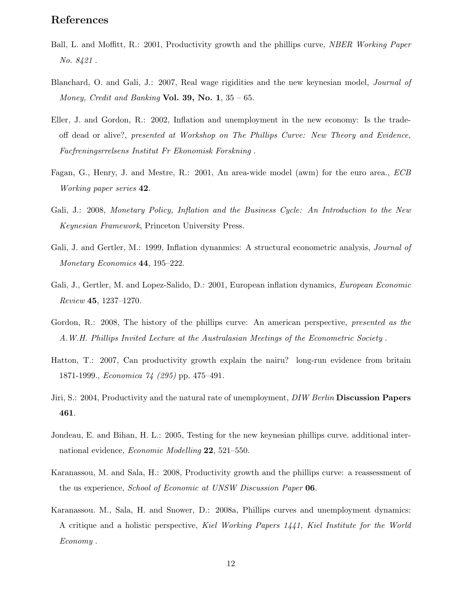# References

- <span id="page-12-7"></span>Ball, L. and Moffitt, R.: 2001, Productivity growth and the phillips curve, *NBER Working Paper No. 8421* .
- <span id="page-12-2"></span>Blanchard, O. and Gali, J.: 2007, Real wage rigidities and the new keynesian model, *Journal of Money, Credit and Banking* Vol. 39, No. 1, 35 – 65.
- <span id="page-12-12"></span>Eller, J. and Gordon, R.: 2002, Inflation and unemployment in the new economy: Is the tradeoff dead or alive?, *presented at Workshop on The Phillips Curve: New Theory and Evidence, Facfreningsrrelsens Institut Fr Ekonomisk Forskning* .
- <span id="page-12-6"></span>Fagan, G., Henry, J. and Mestre, R.: 2001, An area-wide model (awm) for the euro area., *ECB Working paper series* 42.
- <span id="page-12-3"></span>Gali, J.: 2008, *Monetary Policy, Inflation and the Business Cycle: An Introduction to the New Keynesian Framework*, Princeton University Press.
- <span id="page-12-0"></span>Gali, J. and Gertler, M.: 1999, Inflation dynanmics: A structural econometric analysis, *Journal of Monetary Economics* 44, 195–222.
- <span id="page-12-1"></span>Gali, J., Gertler, M. and Lopez-Salido, D.: 2001, European inflation dynamics, *European Economic Review* 45, 1237–1270.
- <span id="page-12-5"></span>Gordon, R.: 2008, The history of the phillips curve: An american perspective, *presented as the A.W.H. Phillips Invited Lecture at the Australasian Meetings of the Econometric Society* .
- <span id="page-12-11"></span>Hatton, T.: 2007, Can productivity growth explain the nairu? long-run evidence from britain 1871-1999., *Economica 74 (295)* pp. 475–491.
- <span id="page-12-8"></span>Jiri, S.: 2004, Productivity and the natural rate of unemployment, *DIW Berlin* Discussion Papers 461.
- <span id="page-12-4"></span>Jondeau, E. and Bihan, H. L.: 2005, Testing for the new keynesian phillips curve. additional international evidence, *Economic Modelling* 22, 521–550.
- <span id="page-12-9"></span>Karanassou, M. and Sala, H.: 2008, Productivity growth and the phillips curve: a reassessment of the us experience, *School of Economic at UNSW Discussion Paper* 06.
- <span id="page-12-10"></span>Karanassou. M., Sala, H. and Snower, D.: 2008a, Phillips curves and unemployment dynamics: A critique and a holistic perspective, *Kiel Working Papers 1441, Kiel Institute for the World Economy* .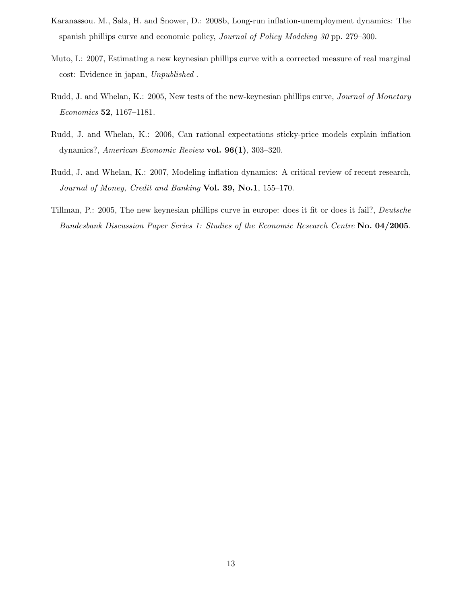- <span id="page-13-2"></span>Karanassou. M., Sala, H. and Snower, D.: 2008b, Long-run inflation-unemployment dynamics: The spanish phillips curve and economic policy, *Journal of Policy Modeling 30* pp. 279–300.
- <span id="page-13-5"></span>Muto, I.: 2007, Estimating a new keynesian phillips curve with a corrected measure of real marginal cost: Evidence in japan, *Unpublished* .
- <span id="page-13-0"></span>Rudd, J. and Whelan, K.: 2005, New tests of the new-keynesian phillips curve, *Journal of Monetary Economics* 52, 1167–1181.
- <span id="page-13-3"></span>Rudd, J. and Whelan, K.: 2006, Can rational expectations sticky-price models explain inflation dynamics?, *American Economic Review* vol. 96(1), 303–320.
- <span id="page-13-1"></span>Rudd, J. and Whelan, K.: 2007, Modeling inflation dynamics: A critical review of recent research, *Journal of Money, Credit and Banking* Vol. 39, No.1, 155–170.
- <span id="page-13-4"></span>Tillman, P.: 2005, The new keynesian phillips curve in europe: does it fit or does it fail?, *Deutsche Bundesbank Discussion Paper Series 1: Studies of the Economic Research Centre* No. 04/2005.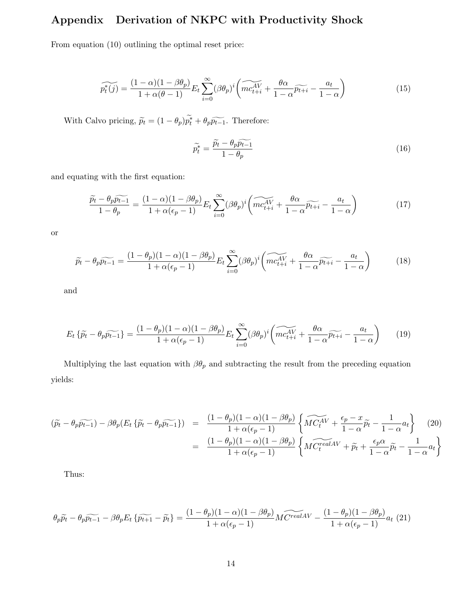# Appendix Derivation of NKPC with Productivity Shock

From equation (10) outlining the optimal reset price:

$$
\widetilde{p_t^*(j)} = \frac{(1-\alpha)(1-\beta\theta_p)}{1+\alpha(\theta-1)} E_t \sum_{i=0}^{\infty} (\beta\theta_p)^i \left( \widetilde{mc_{t+i}^{AV}} + \frac{\theta\alpha}{1-\alpha} \widetilde{p_{t+i}} - \frac{a_t}{1-\alpha} \right)
$$
(15)

With Calvo pricing,  $\tilde{p}_t = (1 - \theta_p) \tilde{p}_t^* + \theta_p \tilde{p}_{t-1}$ . Therefore:

$$
\widetilde{p_t^*} = \frac{\widetilde{p_t} - \theta_p \widetilde{p_{t-1}}}{1 - \theta_p} \tag{16}
$$

and equating with the first equation:

$$
\frac{\widetilde{p}_t - \theta_p \widetilde{p_{t-1}}}{1 - \theta_p} = \frac{(1 - \alpha)(1 - \beta \theta_p)}{1 + \alpha(\epsilon_p - 1)} E_t \sum_{i=0}^{\infty} (\beta \theta_p)^i \left( \widetilde{mc_{t+i}^{AV}} + \frac{\theta \alpha}{1 - \alpha} \widetilde{p_{t+i}} - \frac{a_t}{1 - \alpha} \right)
$$
(17)

or

$$
\widetilde{p}_t - \theta_p \widetilde{p_{t-1}} = \frac{(1 - \theta_p)(1 - \alpha)(1 - \beta \theta_p)}{1 + \alpha(\epsilon_p - 1)} E_t \sum_{i=0}^{\infty} (\beta \theta_p)^i \left( \widetilde{mc_{t+i}^{AV}} + \frac{\theta \alpha}{1 - \alpha} \widetilde{p_{t+i}} - \frac{a_t}{1 - \alpha} \right)
$$
(18)

and

$$
E_t \left\{ \widetilde{p_t} - \theta_p \widetilde{p_{t-1}} \right\} = \frac{(1 - \theta_p)(1 - \alpha)(1 - \beta \theta_p)}{1 + \alpha(\epsilon_p - 1)} E_t \sum_{i=0}^{\infty} (\beta \theta_p)^i \left( \widetilde{mc_{t+i}^{AV}} + \frac{\theta \alpha}{1 - \alpha} \widetilde{p_{t+i}} - \frac{a_t}{1 - \alpha} \right)
$$
(19)

Multiplying the last equation with  $\beta\theta_p$  and subtracting the result from the preceding equation yields:

$$
(\widetilde{p}_t - \theta_p \widetilde{p}_{t-1}) - \beta \theta_p (E_t \{\widetilde{p}_t - \theta_p \widetilde{p}_{t-1}\}) = \frac{(1 - \theta_p)(1 - \alpha)(1 - \beta \theta_p)}{1 + \alpha(\epsilon_p - 1)} \left\{ \widetilde{MC_t^{AV}} + \frac{\epsilon_p - x}{1 - \alpha} \widetilde{p}_t - \frac{1}{1 - \alpha} a_t \right\} \tag{20}
$$

$$
= \frac{(1 - \theta_p)(1 - \alpha)(1 - \beta \theta_p)}{1 + \alpha(\epsilon_p - 1)} \left\{ \widetilde{MC_t^{realAV}} + \widetilde{p}_t + \frac{\epsilon_p \alpha}{1 - \alpha} \widetilde{p}_t - \frac{1}{1 - \alpha} a_t \right\}
$$

Thus:

$$
\theta_p \widetilde{p_t} - \theta_p \widetilde{p_{t-1}} - \beta \theta_p E_t \left\{ \widetilde{p_{t+1}} - \widetilde{p_t} \right\} = \frac{(1 - \theta_p)(1 - \alpha)(1 - \beta \theta_p)}{1 + \alpha(\epsilon_p - 1)} M \widetilde{C}^{\text{realAV}} - \frac{(1 - \theta_p)(1 - \beta \theta_p)}{1 + \alpha(\epsilon_p - 1)} a_t \tag{21}
$$